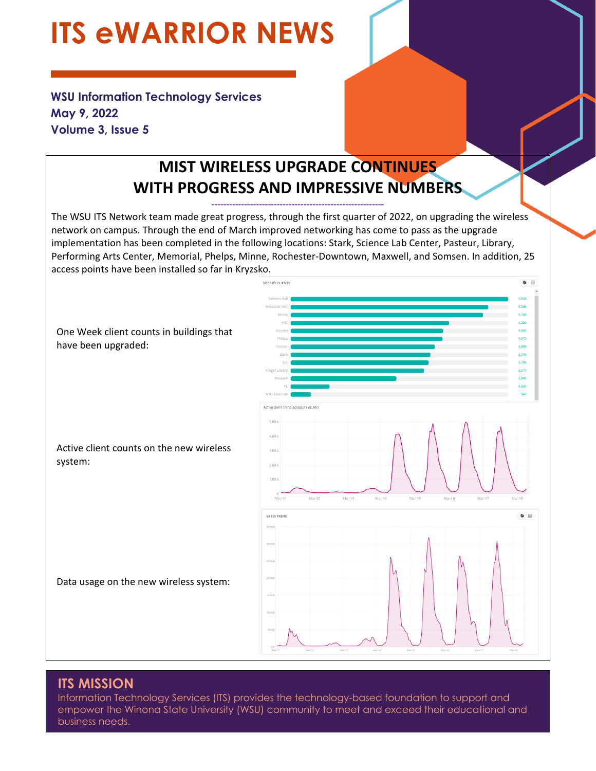# **ITS eWARRIOR NEWS**

**WSU Information Technology Services May 9, 2022 Volume 3, Issue 5** 

# **MIST WIRELESS UPGRADE CONTINUES WITH PROGRESS AND IMPRESSIVE NUMBERS**

**‐‐‐‐‐‐‐‐‐‐‐‐‐‐‐‐‐‐‐‐‐‐‐‐‐‐‐‐‐‐‐‐‐‐‐‐‐‐‐‐‐‐‐‐‐‐‐‐‐‐‐‐‐‐‐‐‐‐** 

The WSU ITS Network team made great progress, through the first quarter of 2022, on upgrading the wireless network on campus. Through the end of March improved networking has come to pass as the upgrade implementation has been completed in the following locations: Stark, Science Lab Center, Pasteur, Library, Performing Arts Center, Memorial, Phelps, Minne, Rochester‐Downtown, Maxwell, and Somsen. In addition, 25 access points have been installed so far in Kryzsko.



### **ITS MISSION**

Information Technology Services (ITS) provides the technology-based foundation to support and empower the Winona State University (WSU) community to meet and exceed their educational and business needs.